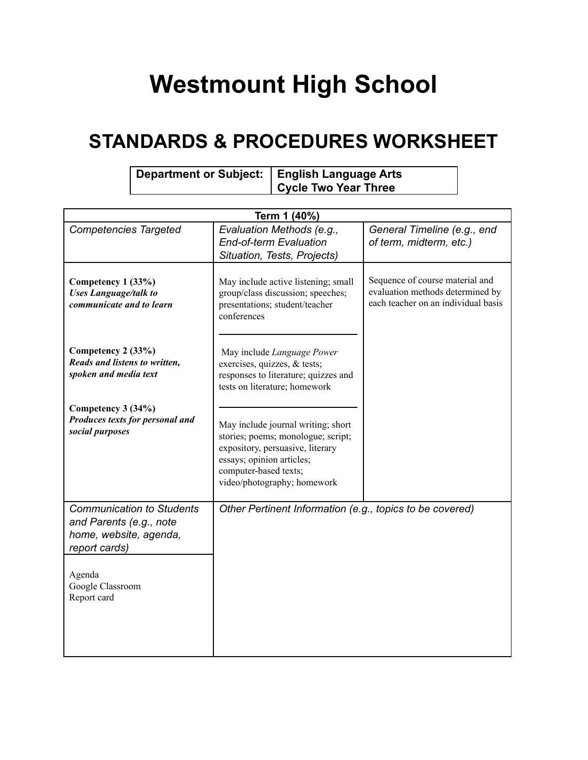## **Westmount High School**

## **STANDARDS & PROCEDURES WORKSHEET**

| Department or Subject:   English Language Arts |                      |
|------------------------------------------------|----------------------|
|                                                | Cycle Two Year Three |

| Term 1 (40%)                                                                                                                                        |                                                                                                                                                                                                   |                                                                                                            |  |
|-----------------------------------------------------------------------------------------------------------------------------------------------------|---------------------------------------------------------------------------------------------------------------------------------------------------------------------------------------------------|------------------------------------------------------------------------------------------------------------|--|
| <b>Competencies Targeted</b>                                                                                                                        | Evaluation Methods (e.g.,<br><b>End-of-term Evaluation</b><br>Situation, Tests, Projects)                                                                                                         | General Timeline (e.g., end<br>of term, midterm, etc.)                                                     |  |
| Competency 1 (33%)<br><b>Uses Language/talk to</b><br>communicate and to learn                                                                      | May include active listening; small<br>group/class discussion; speeches;<br>presentations; student/teacher<br>conferences                                                                         | Sequence of course material and<br>evaluation methods determined by<br>each teacher on an individual basis |  |
| Competency 2 (33%)<br>Reads and listens to written,<br>spoken and media text                                                                        | May include Language Power<br>exercises, quizzes, & tests;<br>responses to literature; quizzes and<br>tests on literature; homework                                                               |                                                                                                            |  |
| Competency 3 (34%)<br>Produces texts for personal and<br>social purposes                                                                            | May include journal writing; short<br>stories; poems; monologue; script;<br>expository, persuasive, literary<br>essays; opinion articles;<br>computer-based texts;<br>video/photography; homework |                                                                                                            |  |
| <b>Communication to Students</b><br>and Parents (e.g., note<br>home, website, agenda,<br>report cards)<br>Agenda<br>Google Classroom<br>Report card | Other Pertinent Information (e.g., topics to be covered)                                                                                                                                          |                                                                                                            |  |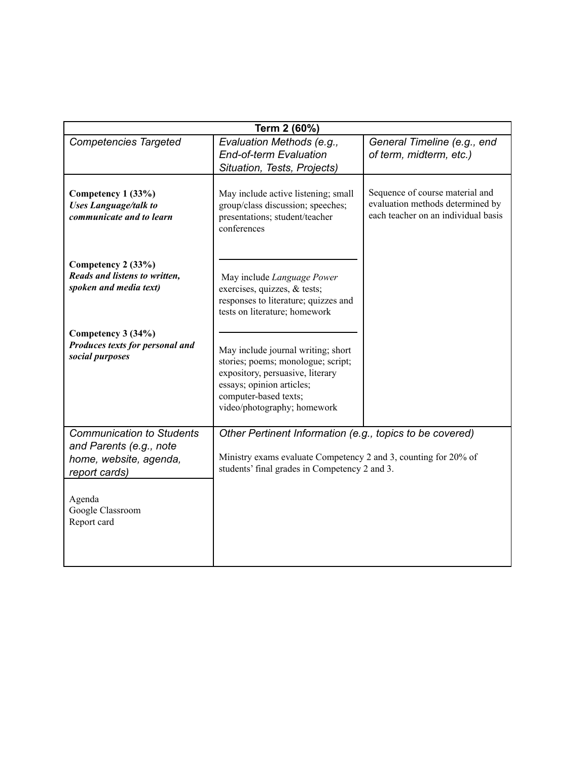| Term 2 (60%)                                                                                           |                                                                                                                                                                                                   |                                                                                                            |  |
|--------------------------------------------------------------------------------------------------------|---------------------------------------------------------------------------------------------------------------------------------------------------------------------------------------------------|------------------------------------------------------------------------------------------------------------|--|
| <b>Competencies Targeted</b>                                                                           | Evaluation Methods (e.g.,<br><b>End-of-term Evaluation</b><br>Situation, Tests, Projects)                                                                                                         | General Timeline (e.g., end<br>of term, midterm, etc.)                                                     |  |
| Competency 1 (33%)<br><b>Uses Language/talk to</b><br>communicate and to learn                         | May include active listening; small<br>group/class discussion; speeches;<br>presentations; student/teacher<br>conferences                                                                         | Sequence of course material and<br>evaluation methods determined by<br>each teacher on an individual basis |  |
| Competency 2 (33%)<br>Reads and listens to written,<br>spoken and media text)                          | May include Language Power<br>exercises, quizzes, & tests;<br>responses to literature; quizzes and<br>tests on literature; homework                                                               |                                                                                                            |  |
| Competency 3 (34%)<br>Produces texts for personal and<br>social purposes                               | May include journal writing; short<br>stories; poems; monologue; script;<br>expository, persuasive, literary<br>essays; opinion articles;<br>computer-based texts;<br>video/photography; homework |                                                                                                            |  |
| <b>Communication to Students</b><br>and Parents (e.g., note<br>home, website, agenda,<br>report cards) | Other Pertinent Information (e.g., topics to be covered)<br>Ministry exams evaluate Competency 2 and 3, counting for 20% of<br>students' final grades in Competency 2 and 3.                      |                                                                                                            |  |
| Agenda<br>Google Classroom<br>Report card                                                              |                                                                                                                                                                                                   |                                                                                                            |  |